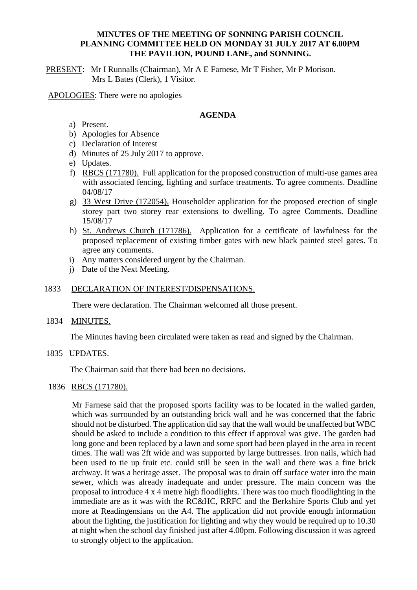### **MINUTES OF THE MEETING OF SONNING PARISH COUNCIL PLANNING COMMITTEE HELD ON MONDAY 31 JULY 2017 AT 6.00PM THE PAVILION, POUND LANE, and SONNING.**

PRESENT: Mr I Runnalls (Chairman), Mr A E Farnese, Mr T Fisher, Mr P Morison. Mrs L Bates (Clerk), 1 Visitor.

APOLOGIES: There were no apologies

#### **AGENDA**

- a) Present.
- b) Apologies for Absence
- c) Declaration of Interest
- d) Minutes of 25 July 2017 to approve.
- e) Updates.
- f) RBCS (171780). Full application for the proposed construction of multi-use games area with associated fencing, lighting and surface treatments. To agree comments. Deadline 04/08/17
- g) 33 West Drive (172054). Householder application for the proposed erection of single storey part two storey rear extensions to dwelling. To agree Comments. Deadline 15/08/17
- h) St. Andrews Church (171786). Application for a certificate of lawfulness for the proposed replacement of existing timber gates with new black painted steel gates. To agree any comments.
- i) Any matters considered urgent by the Chairman.
- j) Date of the Next Meeting.

#### 1833 DECLARATION OF INTEREST/DISPENSATIONS.

There were declaration. The Chairman welcomed all those present.

1834 MINUTES.

The Minutes having been circulated were taken as read and signed by the Chairman.

1835 UPDATES.

The Chairman said that there had been no decisions. .

1836 RBCS (171780).

Mr Farnese said that the proposed sports facility was to be located in the walled garden, which was surrounded by an outstanding brick wall and he was concerned that the fabric should not be disturbed. The application did say that the wall would be unaffected but WBC should be asked to include a condition to this effect if approval was give. The garden had long gone and been replaced by a lawn and some sport had been played in the area in recent times. The wall was 2ft wide and was supported by large buttresses. Iron nails, which had been used to tie up fruit etc. could still be seen in the wall and there was a fine brick archway. It was a heritage asset. The proposal was to drain off surface water into the main sewer, which was already inadequate and under pressure. The main concern was the proposal to introduce 4 x 4 metre high floodlights. There was too much floodlighting in the immediate are as it was with the RC&HC, RRFC and the Berkshire Sports Club and yet more at Readingensians on the A4. The application did not provide enough information about the lighting, the justification for lighting and why they would be required up to 10.30 at night when the school day finished just after 4.00pm. Following discussion it was agreed to strongly object to the application.